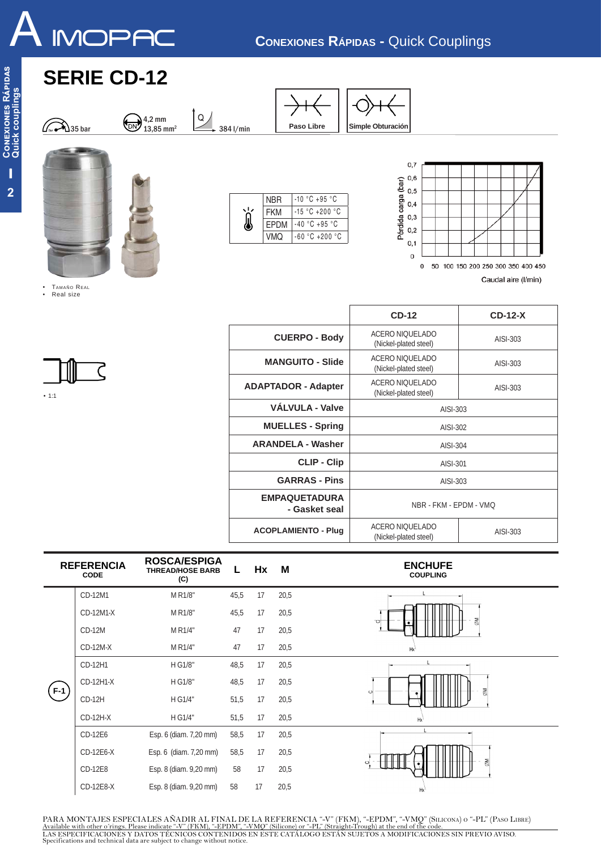

 $0,7$  $0,6$ 

 $0,5$  $0,4$ 

 $_{0,3}$  $0,2$  $0,1$  $\Omega$ 

0 50 100 150 200 250 300 350 400 450

Caudal aire (I/min)

Pérdida carga (bar)

Paso Libre | Simple Obturación

NBR -10 °C +95 °C FKM -15 °C +200 °C EPDM -40 °C +95 °C VMQ -60 ºC +200 ºC

Ì

## **SERIE CD-12**

4,2 mm

13,85 mm<sup>2</sup>  $\longrightarrow$  384 l/min





• TAMAÑO REAL<br>• Real size • Real size

 $\bigcirc$ <sub>0ar</sub>  $\bigcirc$  35 bar



|                                       | $CD-12$                                              | $CD-12-X$ |  |  |  |  |
|---------------------------------------|------------------------------------------------------|-----------|--|--|--|--|
| <b>CUERPO - Body</b>                  | ACERO NIQUELADO<br>AISI-303<br>(Nickel-plated steel) |           |  |  |  |  |
| <b>MANGUITO - Slide</b>               | ACERO NIQUELADO<br>(Nickel-plated steel)             | AISI-303  |  |  |  |  |
| <b>ADAPTADOR - Adapter</b>            | ACERO NIQUELADO<br>(Nickel-plated steel)             | AISI-303  |  |  |  |  |
| VÁLVULA - Valve                       | AISI-303                                             |           |  |  |  |  |
| <b>MUELLES - Spring</b>               | AISI-302                                             |           |  |  |  |  |
| <b>ARANDELA - Washer</b>              | AISI-304                                             |           |  |  |  |  |
| <b>CLIP - Clip</b>                    | AISI-301                                             |           |  |  |  |  |
| <b>GARRAS - Pins</b>                  | AISI-303                                             |           |  |  |  |  |
| <b>EMPAQUETADURA</b><br>- Gasket seal | NBR - FKM - EPDM - VMQ                               |           |  |  |  |  |
| <b>ACOPLAMIENTO - Plug</b>            | ACERO NIQUELADO<br>(Nickel-plated steel)             | AISI-303  |  |  |  |  |

|       | <b>REFERENCIA</b><br><b>CODE</b> | <b>ROSCA/ESPIGA</b><br><b>THREAD/HOSE BARB</b><br>(C) | L.   | Hx | М    | <b>ENCHUFE</b><br><b>COUPLING</b> |
|-------|----------------------------------|-------------------------------------------------------|------|----|------|-----------------------------------|
| $F-1$ | CD-12M1                          | M R1/8"                                               | 45,5 | 17 | 20,5 |                                   |
|       | CD-12M1-X                        | M R1/8"                                               | 45,5 | 17 | 20,5 | Μ<br>Ō                            |
|       | $CD-12M$                         | M R1/4"                                               | 47   | 17 | 20,5 |                                   |
|       | $CD-12M-X$                       | M R1/4"                                               | 47   | 17 | 20,5 | Hx                                |
|       | CD-12H1                          | H G1/8"                                               | 48,5 | 17 | 20,5 |                                   |
|       | CD-12H1-X                        | H G1/8"                                               | 48,5 | 17 | 20,5 | $\epsilon$                        |
|       | $CD-12H$                         | H G1/4"                                               | 51,5 | 17 | 20,5 | ≅                                 |
|       | CD-12H-X                         | H G1/4"                                               | 51,5 | 17 | 20,5 | Hx                                |
|       | CD-12E6                          | Esp. 6 (diam. 7,20 mm)                                | 58,5 | 17 | 20,5 |                                   |
|       | CD-12E6-X                        | Esp. 6 (diam. 7,20 mm)                                | 58,5 | 17 | 20,5 |                                   |
|       | CD-12E8                          | Esp. 8 (diam. 9,20 mm)                                | 58   | 17 | 20,5 | МØ<br>O                           |
|       | CD-12E8-X                        | Esp. 8 (diam. 9,20 mm)                                | 58   | 17 | 20,5 | Hx                                |

PARA MONTAJES ESPECIALES AÑADIR AL FINAL DE LA REFERENCIA "-V" (FKM), "-EPDM", "-VMQ" (SILICONA) 0 "-PL" (PASO LIBRE)<br>Available with other o frings. Please indicate "-V" (FKM), "-EPDM", "-VMQ" (Silicone) or "-PL" (Straight